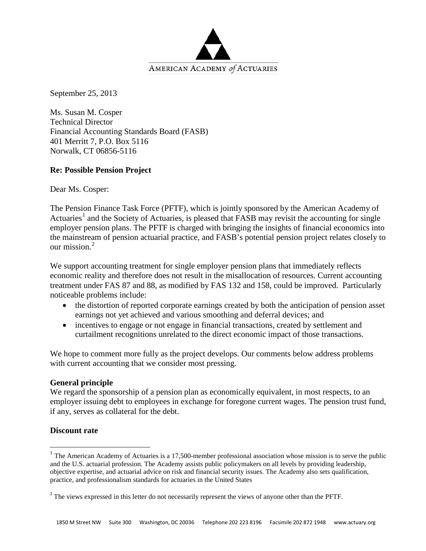

September 25, 2013

Ms. Susan M. Cosper Technical Director Financial Accounting Standards Board (FASB) 401 Merritt 7, P.O. Box 5116 Norwalk, CT 06856-5116

#### **Re: Possible Pension Project**

Dear Ms. Cosper:

The Pension Finance Task Force (PFTF), which is jointly sponsored by the American Academy of Actuaries<sup>[1](#page-0-0)</sup> and the Society of Actuaries, is pleased that FASB may revisit the accounting for single employer pension plans. The PFTF is charged with bringing the insights of financial economics into the mainstream of pension actuarial practice, and FASB's potential pension project relates closely to our mission $^2$  $^2$ 

We support accounting treatment for single employer pension plans that immediately reflects economic reality and therefore does not result in the misallocation of resources. Current accounting treatment under FAS 87 and 88, as modified by FAS 132 and 158, could be improved. Particularly noticeable problems include:

- the distortion of reported corporate earnings created by both the anticipation of pension asset earnings not yet achieved and various smoothing and deferral devices; and
- incentives to engage or not engage in financial transactions, created by settlement and curtailment recognitions unrelated to the direct economic impact of those transactions.

We hope to comment more fully as the project develops. Our comments below address problems with current accounting that we consider most pressing.

#### **General principle**

We regard the sponsorship of a pension plan as economically equivalent, in most respects, to an employer issuing debt to employees in exchange for foregone current wages. The pension trust fund, if any, serves as collateral for the debt.

#### **Discount rate**

l

<span id="page-0-0"></span> $1$  The American Academy of Actuaries is a 17,500-member professional association whose mission is to serve the public and the U.S. actuarial profession. The Academy assists public policymakers on all levels by providing leadership, objective expertise, and actuarial advice on risk and financial security issues. The Academy also sets qualification, practice, and professionalism standards for actuaries in the United States

<span id="page-0-1"></span><sup>&</sup>lt;sup>2</sup> The views expressed in this letter do not necessarily represent the views of anyone other than the PFTF.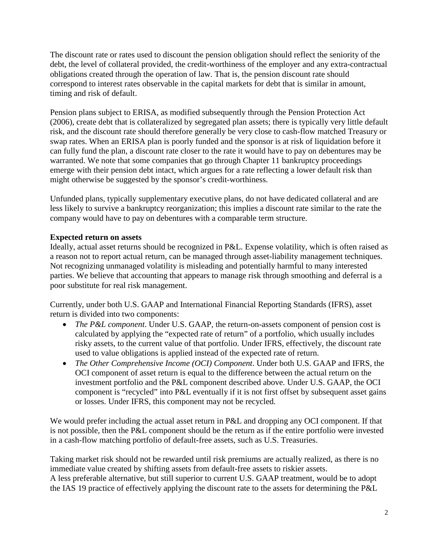The discount rate or rates used to discount the pension obligation should reflect the seniority of the debt, the level of collateral provided, the credit-worthiness of the employer and any extra-contractual obligations created through the operation of law. That is, the pension discount rate should correspond to interest rates observable in the capital markets for debt that is similar in amount, timing and risk of default.

Pension plans subject to ERISA, as modified subsequently through the Pension Protection Act (2006), create debt that is collateralized by segregated plan assets; there is typically very little default risk, and the discount rate should therefore generally be very close to cash-flow matched Treasury or swap rates. When an ERISA plan is poorly funded and the sponsor is at risk of liquidation before it can fully fund the plan, a discount rate closer to the rate it would have to pay on debentures may be warranted. We note that some companies that go through Chapter 11 bankruptcy proceedings emerge with their pension debt intact, which argues for a rate reflecting a lower default risk than might otherwise be suggested by the sponsor's credit-worthiness.

Unfunded plans, typically supplementary executive plans, do not have dedicated collateral and are less likely to survive a bankruptcy reorganization; this implies a discount rate similar to the rate the company would have to pay on debentures with a comparable term structure.

# **Expected return on assets**

Ideally, actual asset returns should be recognized in P&L. Expense volatility, which is often raised as a reason not to report actual return, can be managed through asset-liability management techniques. Not recognizing unmanaged volatility is misleading and potentially harmful to many interested parties. We believe that accounting that appears to manage risk through smoothing and deferral is a poor substitute for real risk management.

Currently, under both U.S. GAAP and International Financial Reporting Standards (IFRS), asset return is divided into two components:

- *The P&L component*. Under U.S. GAAP, the return-on-assets component of pension cost is calculated by applying the "expected rate of return" of a portfolio, which usually includes risky assets, to the current value of that portfolio. Under IFRS, effectively, the discount rate used to value obligations is applied instead of the expected rate of return.
- *The Other Comprehensive Income (OCI) Component*. Under both U.S. GAAP and IFRS, the OCI component of asset return is equal to the difference between the actual return on the investment portfolio and the P&L component described above. Under U.S. GAAP, the OCI component is "recycled" into P&L eventually if it is not first offset by subsequent asset gains or losses. Under IFRS, this component may not be recycled.

We would prefer including the actual asset return in P&L and dropping any OCI component. If that is not possible, then the P&L component should be the return as if the entire portfolio were invested in a cash-flow matching portfolio of default-free assets, such as U.S. Treasuries.

Taking market risk should not be rewarded until risk premiums are actually realized, as there is no immediate value created by shifting assets from default-free assets to riskier assets. A less preferable alternative, but still superior to current U.S. GAAP treatment, would be to adopt the IAS 19 practice of effectively applying the discount rate to the assets for determining the P&L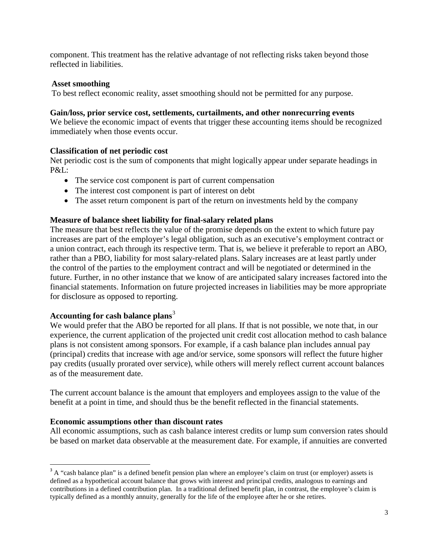component. This treatment has the relative advantage of not reflecting risks taken beyond those reflected in liabilities.

## **Asset smoothing**

To best reflect economic reality, asset smoothing should not be permitted for any purpose.

### **Gain/loss, prior service cost, settlements, curtailments, and other nonrecurring events**

We believe the economic impact of events that trigger these accounting items should be recognized immediately when those events occur.

# **Classification of net periodic cost**

Net periodic cost is the sum of components that might logically appear under separate headings in P&L:

- The service cost component is part of current compensation
- The interest cost component is part of interest on debt
- The asset return component is part of the return on investments held by the company

# **Measure of balance sheet liability for final-salary related plans**

The measure that best reflects the value of the promise depends on the extent to which future pay increases are part of the employer's legal obligation, such as an executive's employment contract or a union contract, each through its respective term. That is, we believe it preferable to report an ABO, rather than a PBO, liability for most salary-related plans. Salary increases are at least partly under the control of the parties to the employment contract and will be negotiated or determined in the future. Further, in no other instance that we know of are anticipated salary increases factored into the financial statements. Information on future projected increases in liabilities may be more appropriate for disclosure as opposed to reporting.

# **Accounting for cash balance plans**[3](#page-2-0)

We would prefer that the ABO be reported for all plans. If that is not possible, we note that, in our experience, the current application of the projected unit credit cost allocation method to cash balance plans is not consistent among sponsors. For example, if a cash balance plan includes annual pay (principal) credits that increase with age and/or service, some sponsors will reflect the future higher pay credits (usually prorated over service), while others will merely reflect current account balances as of the measurement date.

The current account balance is the amount that employers and employees assign to the value of the benefit at a point in time, and should thus be the benefit reflected in the financial statements.

# **Economic assumptions other than discount rates**

All economic assumptions, such as cash balance interest credits or lump sum conversion rates should be based on market data observable at the measurement date. For example, if annuities are converted

<span id="page-2-0"></span> $3$  A "cash balance plan" is a defined benefit pension plan where an employee's claim on trust (or employer) assets is defined as a hypothetical account balance that grows with interest and principal credits, analogous to earnings and contributions in a defined contribution plan. In a traditional defined benefit plan, in contrast, the employee's claim is typically defined as a monthly annuity, generally for the life of the employee after he or she retires.